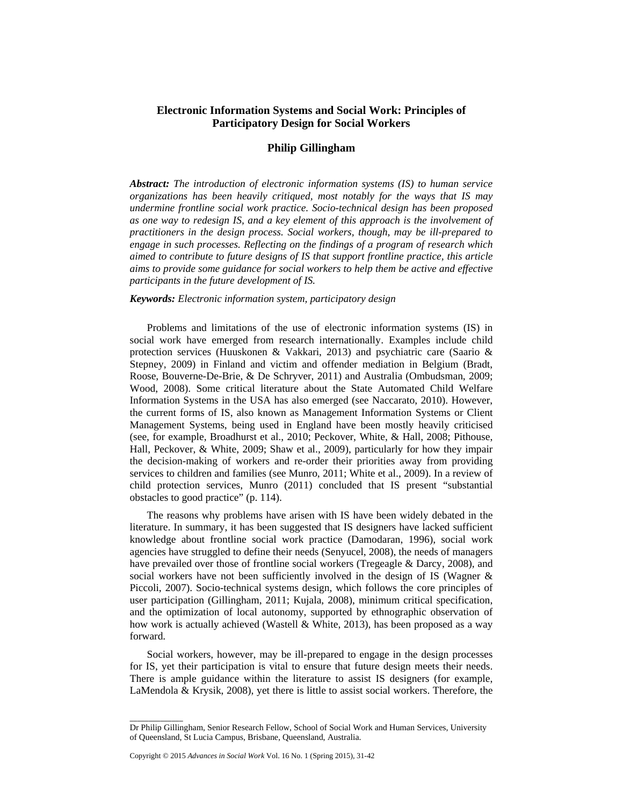# **Electronic Information Systems and Social Work: Principles of Participatory Design for Social Workers**

# **Philip Gillingham**

*Abstract: The introduction of electronic information systems (IS) to human service organizations has been heavily critiqued, most notably for the ways that IS may undermine frontline social work practice. Socio-technical design has been proposed as one way to redesign IS, and a key element of this approach is the involvement of practitioners in the design process. Social workers, though, may be ill-prepared to engage in such processes. Reflecting on the findings of a program of research which aimed to contribute to future designs of IS that support frontline practice, this article aims to provide some guidance for social workers to help them be active and effective participants in the future development of IS.* 

## *Keywords: Electronic information system, participatory design*

Problems and limitations of the use of electronic information systems (IS) in social work have emerged from research internationally. Examples include child protection services (Huuskonen & Vakkari, 2013) and psychiatric care (Saario & Stepney, 2009) in Finland and victim and offender mediation in Belgium (Bradt, Roose, Bouverne-De-Brie, & De Schryver, 2011) and Australia (Ombudsman, 2009; Wood, 2008). Some critical literature about the State Automated Child Welfare Information Systems in the USA has also emerged (see Naccarato, 2010). However, the current forms of IS, also known as Management Information Systems or Client Management Systems, being used in England have been mostly heavily criticised (see, for example, Broadhurst et al., 2010; Peckover, White, & Hall, 2008; Pithouse, Hall, Peckover, & White, 2009; Shaw et al., 2009), particularly for how they impair the decision-making of workers and re-order their priorities away from providing services to children and families (see Munro, 2011; White et al., 2009). In a review of child protection services, Munro (2011) concluded that IS present "substantial obstacles to good practice" (p. 114).

The reasons why problems have arisen with IS have been widely debated in the literature. In summary, it has been suggested that IS designers have lacked sufficient knowledge about frontline social work practice (Damodaran, 1996), social work agencies have struggled to define their needs (Senyucel, 2008), the needs of managers have prevailed over those of frontline social workers (Tregeagle & Darcy, 2008), and social workers have not been sufficiently involved in the design of IS (Wagner & Piccoli, 2007). Socio-technical systems design, which follows the core principles of user participation (Gillingham, 2011; Kujala, 2008), minimum critical specification, and the optimization of local autonomy, supported by ethnographic observation of how work is actually achieved (Wastell & White, 2013), has been proposed as a way forward.

Social workers, however, may be ill-prepared to engage in the design processes for IS, yet their participation is vital to ensure that future design meets their needs. There is ample guidance within the literature to assist IS designers (for example, LaMendola & Krysik, 2008), yet there is little to assist social workers. Therefore, the

 $\overline{\phantom{a}}$ 

Dr Philip Gillingham, Senior Research Fellow, School of Social Work and Human Services, University of Queensland, St Lucia Campus, Brisbane, Queensland, Australia.

Copyright © 2015 *Advances in Social Work* Vol. 16 No. 1 (Spring 2015), 31-42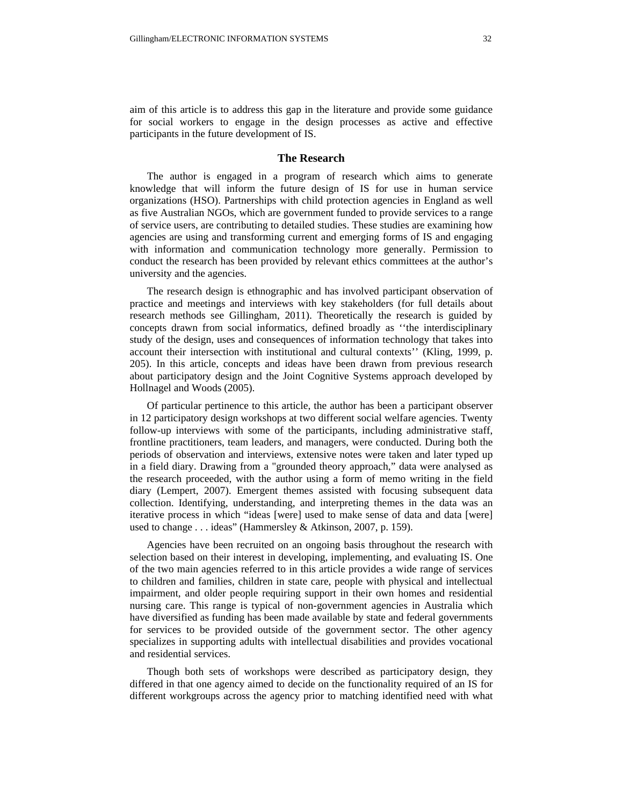aim of this article is to address this gap in the literature and provide some guidance for social workers to engage in the design processes as active and effective participants in the future development of IS.

### **The Research**

The author is engaged in a program of research which aims to generate knowledge that will inform the future design of IS for use in human service organizations (HSO). Partnerships with child protection agencies in England as well as five Australian NGOs, which are government funded to provide services to a range of service users, are contributing to detailed studies. These studies are examining how agencies are using and transforming current and emerging forms of IS and engaging with information and communication technology more generally. Permission to conduct the research has been provided by relevant ethics committees at the author's university and the agencies.

The research design is ethnographic and has involved participant observation of practice and meetings and interviews with key stakeholders (for full details about research methods see Gillingham, 2011). Theoretically the research is guided by concepts drawn from social informatics, defined broadly as ''the interdisciplinary study of the design, uses and consequences of information technology that takes into account their intersection with institutional and cultural contexts'' (Kling, 1999, p. 205). In this article, concepts and ideas have been drawn from previous research about participatory design and the Joint Cognitive Systems approach developed by Hollnagel and Woods (2005).

Of particular pertinence to this article, the author has been a participant observer in 12 participatory design workshops at two different social welfare agencies. Twenty follow-up interviews with some of the participants, including administrative staff, frontline practitioners, team leaders, and managers, were conducted. During both the periods of observation and interviews, extensive notes were taken and later typed up in a field diary. Drawing from a "grounded theory approach," data were analysed as the research proceeded, with the author using a form of memo writing in the field diary (Lempert, 2007). Emergent themes assisted with focusing subsequent data collection. Identifying, understanding, and interpreting themes in the data was an iterative process in which "ideas [were] used to make sense of data and data [were] used to change . . . ideas" (Hammersley & Atkinson, 2007, p. 159).

Agencies have been recruited on an ongoing basis throughout the research with selection based on their interest in developing, implementing, and evaluating IS. One of the two main agencies referred to in this article provides a wide range of services to children and families, children in state care, people with physical and intellectual impairment, and older people requiring support in their own homes and residential nursing care. This range is typical of non-government agencies in Australia which have diversified as funding has been made available by state and federal governments for services to be provided outside of the government sector. The other agency specializes in supporting adults with intellectual disabilities and provides vocational and residential services.

Though both sets of workshops were described as participatory design, they differed in that one agency aimed to decide on the functionality required of an IS for different workgroups across the agency prior to matching identified need with what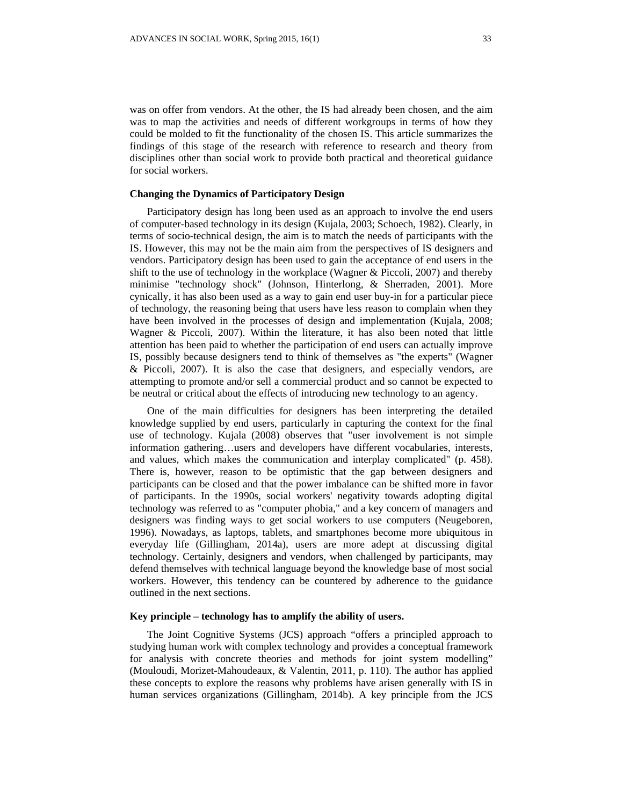was on offer from vendors. At the other, the IS had already been chosen, and the aim was to map the activities and needs of different workgroups in terms of how they could be molded to fit the functionality of the chosen IS. This article summarizes the findings of this stage of the research with reference to research and theory from disciplines other than social work to provide both practical and theoretical guidance for social workers.

## **Changing the Dynamics of Participatory Design**

Participatory design has long been used as an approach to involve the end users of computer-based technology in its design (Kujala, 2003; Schoech, 1982). Clearly, in terms of socio-technical design, the aim is to match the needs of participants with the IS. However, this may not be the main aim from the perspectives of IS designers and vendors. Participatory design has been used to gain the acceptance of end users in the shift to the use of technology in the workplace (Wagner  $\&$  Piccoli, 2007) and thereby minimise "technology shock" (Johnson, Hinterlong, & Sherraden, 2001). More cynically, it has also been used as a way to gain end user buy-in for a particular piece of technology, the reasoning being that users have less reason to complain when they have been involved in the processes of design and implementation (Kujala, 2008; Wagner & Piccoli, 2007). Within the literature, it has also been noted that little attention has been paid to whether the participation of end users can actually improve IS, possibly because designers tend to think of themselves as "the experts" (Wagner & Piccoli, 2007). It is also the case that designers, and especially vendors, are attempting to promote and/or sell a commercial product and so cannot be expected to be neutral or critical about the effects of introducing new technology to an agency.

One of the main difficulties for designers has been interpreting the detailed knowledge supplied by end users, particularly in capturing the context for the final use of technology. Kujala (2008) observes that "user involvement is not simple information gathering…users and developers have different vocabularies, interests, and values, which makes the communication and interplay complicated" (p. 458). There is, however, reason to be optimistic that the gap between designers and participants can be closed and that the power imbalance can be shifted more in favor of participants. In the 1990s, social workers' negativity towards adopting digital technology was referred to as "computer phobia," and a key concern of managers and designers was finding ways to get social workers to use computers (Neugeboren, 1996). Nowadays, as laptops, tablets, and smartphones become more ubiquitous in everyday life (Gillingham, 2014a), users are more adept at discussing digital technology. Certainly, designers and vendors, when challenged by participants, may defend themselves with technical language beyond the knowledge base of most social workers. However, this tendency can be countered by adherence to the guidance outlined in the next sections.

## **Key principle – technology has to amplify the ability of users.**

The Joint Cognitive Systems (JCS) approach "offers a principled approach to studying human work with complex technology and provides a conceptual framework for analysis with concrete theories and methods for joint system modelling" (Mouloudi, Morizet-Mahoudeaux, & Valentin, 2011, p. 110). The author has applied these concepts to explore the reasons why problems have arisen generally with IS in human services organizations (Gillingham, 2014b). A key principle from the JCS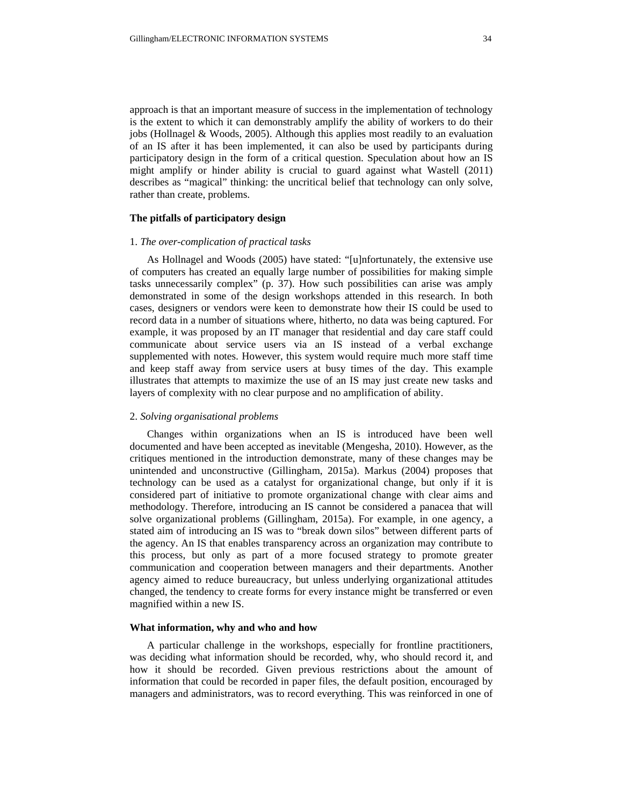approach is that an important measure of success in the implementation of technology is the extent to which it can demonstrably amplify the ability of workers to do their jobs (Hollnagel & Woods, 2005). Although this applies most readily to an evaluation of an IS after it has been implemented, it can also be used by participants during participatory design in the form of a critical question. Speculation about how an IS might amplify or hinder ability is crucial to guard against what Wastell (2011) describes as "magical" thinking: the uncritical belief that technology can only solve, rather than create, problems.

# **The pitfalls of participatory design**

### 1. *The over-complication of practical tasks*

As Hollnagel and Woods (2005) have stated: "[u]nfortunately, the extensive use of computers has created an equally large number of possibilities for making simple tasks unnecessarily complex" (p. 37). How such possibilities can arise was amply demonstrated in some of the design workshops attended in this research. In both cases, designers or vendors were keen to demonstrate how their IS could be used to record data in a number of situations where, hitherto, no data was being captured. For example, it was proposed by an IT manager that residential and day care staff could communicate about service users via an IS instead of a verbal exchange supplemented with notes. However, this system would require much more staff time and keep staff away from service users at busy times of the day. This example illustrates that attempts to maximize the use of an IS may just create new tasks and layers of complexity with no clear purpose and no amplification of ability.

### 2. *Solving organisational problems*

Changes within organizations when an IS is introduced have been well documented and have been accepted as inevitable (Mengesha, 2010). However, as the critiques mentioned in the introduction demonstrate, many of these changes may be unintended and unconstructive (Gillingham, 2015a). Markus (2004) proposes that technology can be used as a catalyst for organizational change, but only if it is considered part of initiative to promote organizational change with clear aims and methodology. Therefore, introducing an IS cannot be considered a panacea that will solve organizational problems (Gillingham, 2015a). For example, in one agency, a stated aim of introducing an IS was to "break down silos" between different parts of the agency. An IS that enables transparency across an organization may contribute to this process, but only as part of a more focused strategy to promote greater communication and cooperation between managers and their departments. Another agency aimed to reduce bureaucracy, but unless underlying organizational attitudes changed, the tendency to create forms for every instance might be transferred or even magnified within a new IS.

#### **What information, why and who and how**

A particular challenge in the workshops, especially for frontline practitioners, was deciding what information should be recorded, why, who should record it, and how it should be recorded. Given previous restrictions about the amount of information that could be recorded in paper files, the default position, encouraged by managers and administrators, was to record everything. This was reinforced in one of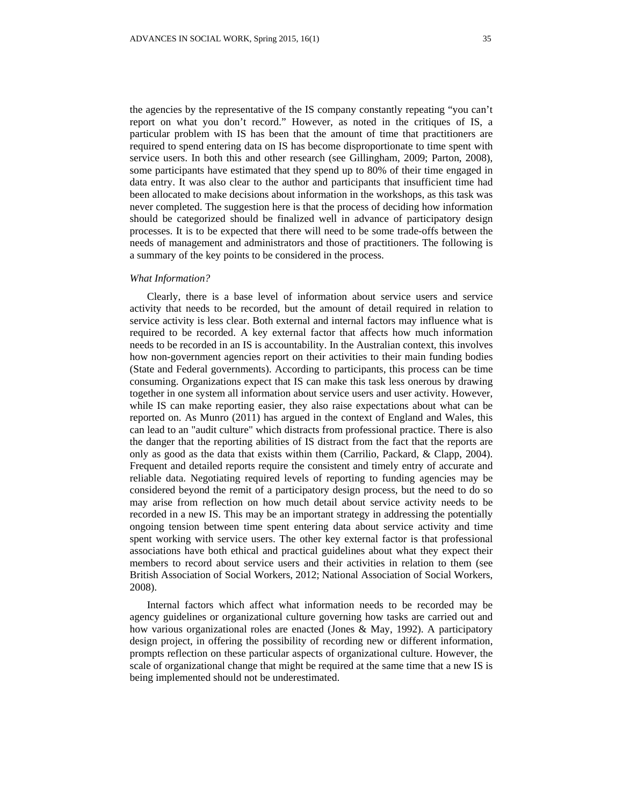the agencies by the representative of the IS company constantly repeating "you can't report on what you don't record." However, as noted in the critiques of IS, a particular problem with IS has been that the amount of time that practitioners are required to spend entering data on IS has become disproportionate to time spent with service users. In both this and other research (see Gillingham, 2009; Parton, 2008), some participants have estimated that they spend up to 80% of their time engaged in data entry. It was also clear to the author and participants that insufficient time had been allocated to make decisions about information in the workshops, as this task was never completed. The suggestion here is that the process of deciding how information should be categorized should be finalized well in advance of participatory design processes. It is to be expected that there will need to be some trade-offs between the needs of management and administrators and those of practitioners. The following is a summary of the key points to be considered in the process.

#### *What Information?*

Clearly, there is a base level of information about service users and service activity that needs to be recorded, but the amount of detail required in relation to service activity is less clear. Both external and internal factors may influence what is required to be recorded. A key external factor that affects how much information needs to be recorded in an IS is accountability. In the Australian context, this involves how non-government agencies report on their activities to their main funding bodies (State and Federal governments). According to participants, this process can be time consuming. Organizations expect that IS can make this task less onerous by drawing together in one system all information about service users and user activity. However, while IS can make reporting easier, they also raise expectations about what can be reported on. As Munro (2011) has argued in the context of England and Wales, this can lead to an "audit culture" which distracts from professional practice. There is also the danger that the reporting abilities of IS distract from the fact that the reports are only as good as the data that exists within them (Carrilio, Packard, & Clapp, 2004). Frequent and detailed reports require the consistent and timely entry of accurate and reliable data. Negotiating required levels of reporting to funding agencies may be considered beyond the remit of a participatory design process, but the need to do so may arise from reflection on how much detail about service activity needs to be recorded in a new IS. This may be an important strategy in addressing the potentially ongoing tension between time spent entering data about service activity and time spent working with service users. The other key external factor is that professional associations have both ethical and practical guidelines about what they expect their members to record about service users and their activities in relation to them (see British Association of Social Workers, 2012; National Association of Social Workers, 2008).

Internal factors which affect what information needs to be recorded may be agency guidelines or organizational culture governing how tasks are carried out and how various organizational roles are enacted (Jones & May, 1992). A participatory design project, in offering the possibility of recording new or different information, prompts reflection on these particular aspects of organizational culture. However, the scale of organizational change that might be required at the same time that a new IS is being implemented should not be underestimated.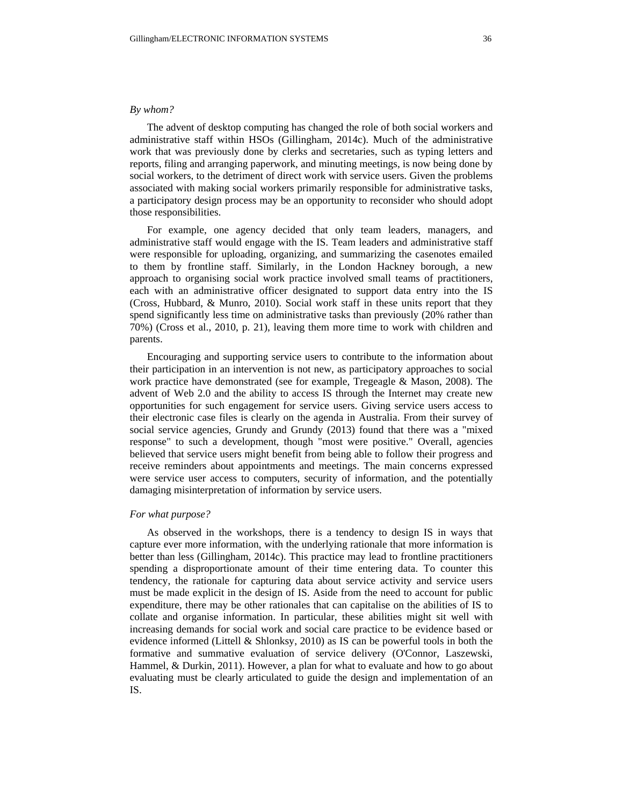#### *By whom?*

The advent of desktop computing has changed the role of both social workers and administrative staff within HSOs (Gillingham, 2014c). Much of the administrative work that was previously done by clerks and secretaries, such as typing letters and reports, filing and arranging paperwork, and minuting meetings, is now being done by social workers, to the detriment of direct work with service users. Given the problems associated with making social workers primarily responsible for administrative tasks, a participatory design process may be an opportunity to reconsider who should adopt those responsibilities.

For example, one agency decided that only team leaders, managers, and administrative staff would engage with the IS. Team leaders and administrative staff were responsible for uploading, organizing, and summarizing the casenotes emailed to them by frontline staff. Similarly, in the London Hackney borough, a new approach to organising social work practice involved small teams of practitioners, each with an administrative officer designated to support data entry into the IS (Cross, Hubbard, & Munro, 2010). Social work staff in these units report that they spend significantly less time on administrative tasks than previously (20% rather than 70%) (Cross et al., 2010, p. 21), leaving them more time to work with children and parents.

Encouraging and supporting service users to contribute to the information about their participation in an intervention is not new, as participatory approaches to social work practice have demonstrated (see for example, Tregeagle & Mason, 2008). The advent of Web 2.0 and the ability to access IS through the Internet may create new opportunities for such engagement for service users. Giving service users access to their electronic case files is clearly on the agenda in Australia. From their survey of social service agencies, Grundy and Grundy (2013) found that there was a "mixed response" to such a development, though "most were positive." Overall, agencies believed that service users might benefit from being able to follow their progress and receive reminders about appointments and meetings. The main concerns expressed were service user access to computers, security of information, and the potentially damaging misinterpretation of information by service users.

#### *For what purpose?*

As observed in the workshops, there is a tendency to design IS in ways that capture ever more information, with the underlying rationale that more information is better than less (Gillingham, 2014c). This practice may lead to frontline practitioners spending a disproportionate amount of their time entering data. To counter this tendency, the rationale for capturing data about service activity and service users must be made explicit in the design of IS. Aside from the need to account for public expenditure, there may be other rationales that can capitalise on the abilities of IS to collate and organise information. In particular, these abilities might sit well with increasing demands for social work and social care practice to be evidence based or evidence informed (Littell & Shlonksy, 2010) as IS can be powerful tools in both the formative and summative evaluation of service delivery (O'Connor, Laszewski, Hammel, & Durkin, 2011). However, a plan for what to evaluate and how to go about evaluating must be clearly articulated to guide the design and implementation of an IS.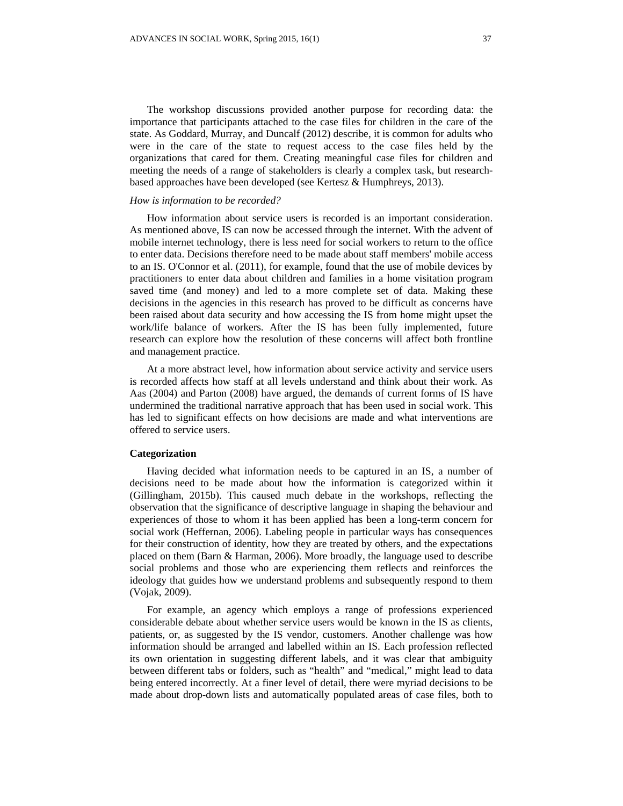The workshop discussions provided another purpose for recording data: the importance that participants attached to the case files for children in the care of the state. As Goddard, Murray, and Duncalf (2012) describe, it is common for adults who were in the care of the state to request access to the case files held by the organizations that cared for them. Creating meaningful case files for children and meeting the needs of a range of stakeholders is clearly a complex task, but researchbased approaches have been developed (see Kertesz & Humphreys, 2013).

### *How is information to be recorded?*

How information about service users is recorded is an important consideration. As mentioned above, IS can now be accessed through the internet. With the advent of mobile internet technology, there is less need for social workers to return to the office to enter data. Decisions therefore need to be made about staff members' mobile access to an IS. O'Connor et al. (2011), for example, found that the use of mobile devices by practitioners to enter data about children and families in a home visitation program saved time (and money) and led to a more complete set of data. Making these decisions in the agencies in this research has proved to be difficult as concerns have been raised about data security and how accessing the IS from home might upset the work/life balance of workers. After the IS has been fully implemented, future research can explore how the resolution of these concerns will affect both frontline and management practice.

At a more abstract level, how information about service activity and service users is recorded affects how staff at all levels understand and think about their work. As Aas (2004) and Parton (2008) have argued, the demands of current forms of IS have undermined the traditional narrative approach that has been used in social work. This has led to significant effects on how decisions are made and what interventions are offered to service users.

### **Categorization**

Having decided what information needs to be captured in an IS, a number of decisions need to be made about how the information is categorized within it (Gillingham, 2015b). This caused much debate in the workshops, reflecting the observation that the significance of descriptive language in shaping the behaviour and experiences of those to whom it has been applied has been a long-term concern for social work (Heffernan, 2006). Labeling people in particular ways has consequences for their construction of identity, how they are treated by others, and the expectations placed on them (Barn & Harman, 2006). More broadly, the language used to describe social problems and those who are experiencing them reflects and reinforces the ideology that guides how we understand problems and subsequently respond to them (Vojak, 2009).

For example, an agency which employs a range of professions experienced considerable debate about whether service users would be known in the IS as clients, patients, or, as suggested by the IS vendor, customers. Another challenge was how information should be arranged and labelled within an IS. Each profession reflected its own orientation in suggesting different labels, and it was clear that ambiguity between different tabs or folders, such as "health" and "medical," might lead to data being entered incorrectly. At a finer level of detail, there were myriad decisions to be made about drop-down lists and automatically populated areas of case files, both to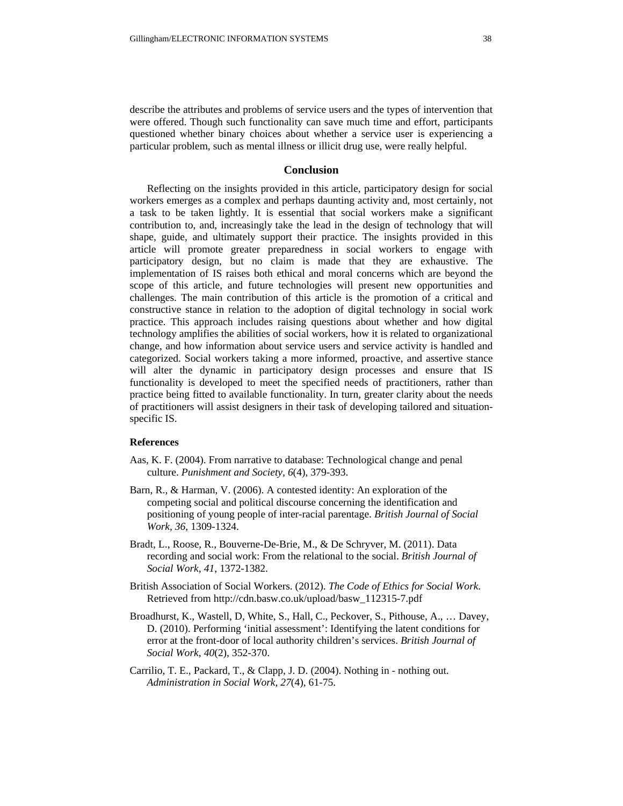describe the attributes and problems of service users and the types of intervention that were offered. Though such functionality can save much time and effort, participants questioned whether binary choices about whether a service user is experiencing a particular problem, such as mental illness or illicit drug use, were really helpful.

# **Conclusion**

Reflecting on the insights provided in this article, participatory design for social workers emerges as a complex and perhaps daunting activity and, most certainly, not a task to be taken lightly. It is essential that social workers make a significant contribution to, and, increasingly take the lead in the design of technology that will shape, guide, and ultimately support their practice. The insights provided in this article will promote greater preparedness in social workers to engage with participatory design, but no claim is made that they are exhaustive. The implementation of IS raises both ethical and moral concerns which are beyond the scope of this article, and future technologies will present new opportunities and challenges. The main contribution of this article is the promotion of a critical and constructive stance in relation to the adoption of digital technology in social work practice. This approach includes raising questions about whether and how digital technology amplifies the abilities of social workers, how it is related to organizational change, and how information about service users and service activity is handled and categorized. Social workers taking a more informed, proactive, and assertive stance will alter the dynamic in participatory design processes and ensure that IS functionality is developed to meet the specified needs of practitioners, rather than practice being fitted to available functionality. In turn, greater clarity about the needs of practitioners will assist designers in their task of developing tailored and situationspecific IS.

## **References**

- Aas, K. F. (2004). From narrative to database: Technological change and penal culture. *Punishment and Society, 6*(4), 379-393.
- Barn, R., & Harman, V. (2006). A contested identity: An exploration of the competing social and political discourse concerning the identification and positioning of young people of inter-racial parentage. *British Journal of Social Work, 36,* 1309-1324.
- Bradt, L., Roose, R., Bouverne-De-Brie, M., & De Schryver, M. (2011). Data recording and social work: From the relational to the social. *British Journal of Social Work, 41*, 1372-1382.
- British Association of Social Workers. (2012). *The Code of Ethics for Social Work*. Retrieved from http://cdn.basw.co.uk/upload/basw\_112315-7.pdf
- Broadhurst, K., Wastell, D, White, S., Hall, C., Peckover, S., Pithouse, A., … Davey, D. (2010). Performing 'initial assessment': Identifying the latent conditions for error at the front-door of local authority children's services. *British Journal of Social Work*, *40*(2), 352-370.
- Carrilio, T. E., Packard, T., & Clapp, J. D. (2004). Nothing in nothing out. *Administration in Social Work, 27*(4), 61-75.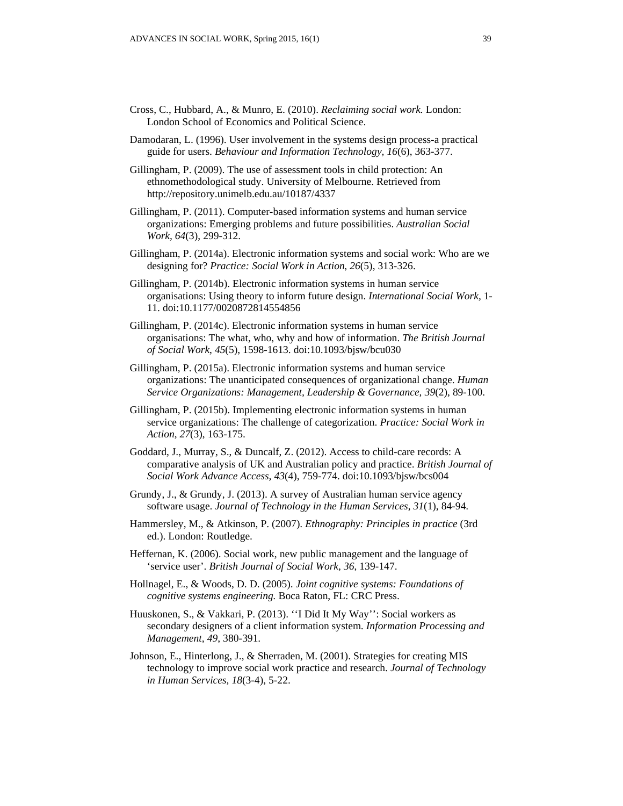- Cross, C., Hubbard, A., & Munro, E. (2010). *Reclaiming social work.* London: London School of Economics and Political Science.
- Damodaran, L. (1996). User involvement in the systems design process-a practical guide for users. *Behaviour and Information Technology, 16*(6), 363-377.
- Gillingham, P. (2009). The use of assessment tools in child protection: An ethnomethodological study. University of Melbourne. Retrieved from http://repository.unimelb.edu.au/10187/4337
- Gillingham, P. (2011). Computer-based information systems and human service organizations: Emerging problems and future possibilities. *Australian Social Work, 64*(3), 299-312.
- Gillingham, P. (2014a). Electronic information systems and social work: Who are we designing for? *Practice: Social Work in Action*, *26*(5), 313-326.
- Gillingham, P. (2014b). Electronic information systems in human service organisations: Using theory to inform future design. *International Social Work,* 1- 11. doi:10.1177/0020872814554856
- Gillingham, P. (2014c). Electronic information systems in human service organisations: The what, who, why and how of information. *The British Journal of Social Work*, *45*(5), 1598-1613. doi:10.1093/bjsw/bcu030
- Gillingham, P. (2015a). Electronic information systems and human service organizations: The unanticipated consequences of organizational change. *Human Service Organizations: Management, Leadership & Governance, 39*(2), 89-100.
- Gillingham, P. (2015b). Implementing electronic information systems in human service organizations: The challenge of categorization. *Practice: Social Work in Action*, *27*(3), 163-175.
- Goddard, J., Murray, S., & Duncalf, Z. (2012). Access to child-care records: A comparative analysis of UK and Australian policy and practice. *British Journal of Social Work Advance Access, 43*(4), 759-774. doi:10.1093/bjsw/bcs004
- Grundy, J., & Grundy, J. (2013). A survey of Australian human service agency software usage. *Journal of Technology in the Human Services*, *31*(1), 84-94.
- Hammersley, M., & Atkinson, P. (2007). *Ethnography: Principles in practice* (3rd ed.). London: Routledge.
- Heffernan, K. (2006). Social work, new public management and the language of 'service user'. *British Journal of Social Work*, *36*, 139-147.
- Hollnagel, E., & Woods, D. D. (2005). *Joint cognitive systems: Foundations of cognitive systems engineering.* Boca Raton, FL: CRC Press.
- Huuskonen, S., & Vakkari, P. (2013). ''I Did It My Way'': Social workers as secondary designers of a client information system. *Information Processing and Management, 49*, 380-391.
- Johnson, E., Hinterlong, J., & Sherraden, M. (2001). Strategies for creating MIS technology to improve social work practice and research. *Journal of Technology in Human Services, 18*(3-4), 5-22.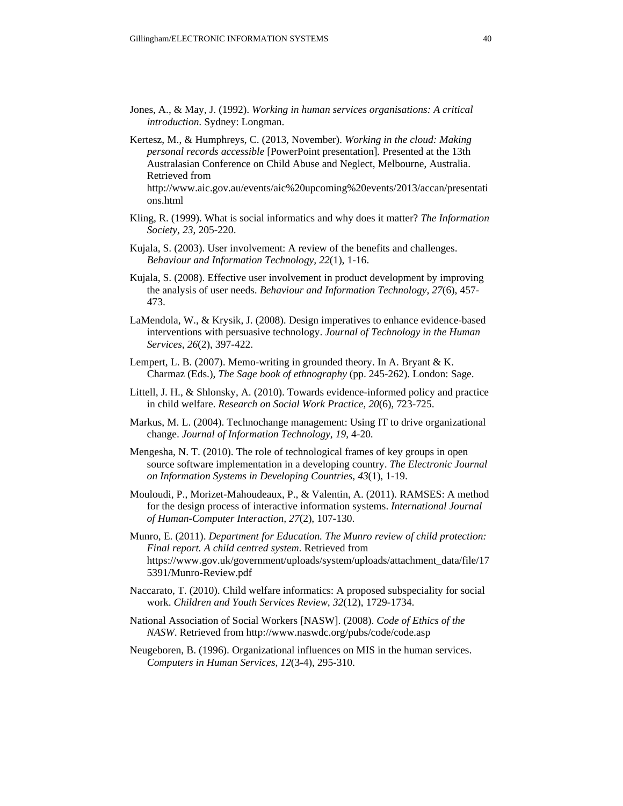- Jones, A., & May, J. (1992). *Working in human services organisations: A critical introduction*. Sydney: Longman.
- Kertesz, M., & Humphreys, C. (2013, November). *Working in the cloud: Making personal records accessible* [PowerPoint presentation]*.* Presented at the 13th Australasian Conference on Child Abuse and Neglect, Melbourne, Australia. Retrieved from http://www.aic.gov.au/events/aic%20upcoming%20events/2013/accan/presentati
	- ons.html
- Kling, R. (1999). What is social informatics and why does it matter? *The Information Society*, *23*, 205-220.
- Kujala, S. (2003). User involvement: A review of the benefits and challenges. *Behaviour and Information Technology, 22*(1), 1-16.
- Kujala, S. (2008). Effective user involvement in product development by improving the analysis of user needs. *Behaviour and Information Technology, 27*(6), 457- 473.
- LaMendola, W., & Krysik, J. (2008). Design imperatives to enhance evidence-based interventions with persuasive technology. *Journal of Technology in the Human Services, 26*(2), 397-422.
- Lempert, L. B. (2007). Memo-writing in grounded theory. In A. Bryant & K. Charmaz (Eds.), *The Sage book of ethnography* (pp. 245-262)*.* London: Sage.
- Littell, J. H., & Shlonsky, A. (2010). Towards evidence-informed policy and practice in child welfare. *Research on Social Work Practice, 20*(6), 723-725.
- Markus, M. L. (2004). Technochange management: Using IT to drive organizational change. *Journal of Information Technology*, *19*, 4-20.
- Mengesha, N. T. (2010). The role of technological frames of key groups in open source software implementation in a developing country. *The Electronic Journal on Information Systems in Developing Countries, 43*(1), 1-19.
- Mouloudi, P., Morizet-Mahoudeaux, P., & Valentin, A. (2011). RAMSES: A method for the design process of interactive information systems. *International Journal of Human-Computer Interaction, 27*(2), 107-130.
- Munro, E. (2011). *Department for Education. The Munro review of child protection: Final report. A child centred system*. Retrieved from https://www.gov.uk/government/uploads/system/uploads/attachment\_data/file/17 5391/Munro-Review.pdf
- Naccarato, T. (2010). Child welfare informatics: A proposed subspeciality for social work. *Children and Youth Services Review*, *32*(12), 1729-1734.
- National Association of Social Workers [NASW]. (2008). *Code of Ethics of the NASW*. Retrieved from http://www.naswdc.org/pubs/code/code.asp
- Neugeboren, B. (1996). Organizational influences on MIS in the human services. *Computers in Human Services*, *12*(3-4), 295-310.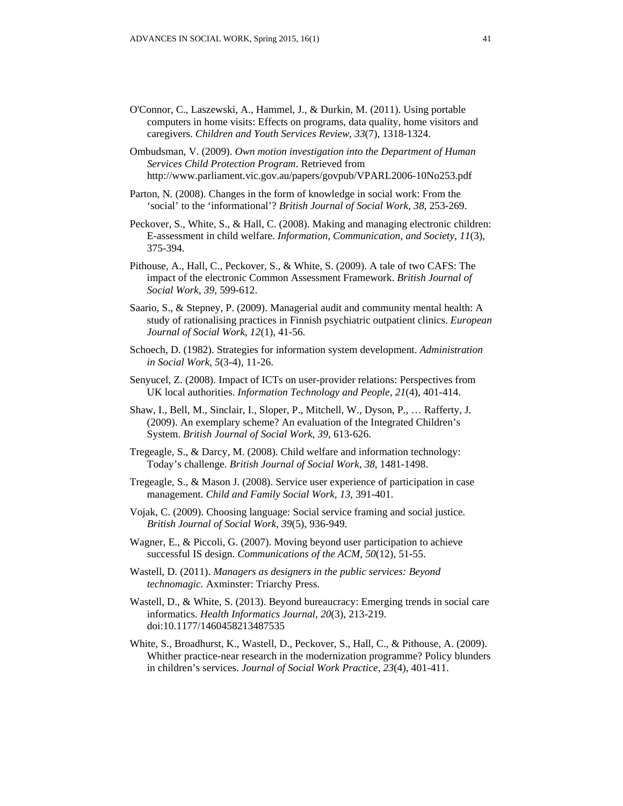- O'Connor, C., Laszewski, A., Hammel, J., & Durkin, M. (2011). Using portable computers in home visits: Effects on programs, data quality, home visitors and caregivers. *Children and Youth Services Review*, *33*(7), 1318-1324.
- Ombudsman, V. (2009). *Own motion investigation into the Department of Human Services Child Protection Program*. Retrieved from http://www.parliament.vic.gov.au/papers/govpub/VPARL2006-10No253.pdf
- Parton, N. (2008). Changes in the form of knowledge in social work: From the 'social' to the 'informational'? *British Journal of Social Work, 38*, 253-269.
- Peckover, S., White, S., & Hall, C. (2008). Making and managing electronic children: E-assessment in child welfare. *Information, Communication, and Society, 11*(3), 375-394.
- Pithouse, A., Hall, C., Peckover, S., & White, S. (2009). A tale of two CAFS: The impact of the electronic Common Assessment Framework. *British Journal of Social Work, 39*, 599-612.
- Saario, S., & Stepney, P. (2009). Managerial audit and community mental health: A study of rationalising practices in Finnish psychiatric outpatient clinics. *European Journal of Social Work, 12*(1), 41-56.
- Schoech, D. (1982). Strategies for information system development. *Administration in Social Work*, *5*(3-4), 11-26.
- Senyucel, Z. (2008). Impact of ICTs on user-provider relations: Perspectives from UK local authorities. *Information Technology and People, 21*(4), 401-414.
- Shaw, I., Bell, M., Sinclair, I., Sloper, P., Mitchell, W., Dyson, P., … Rafferty, J. (2009). An exemplary scheme? An evaluation of the Integrated Children's System. *British Journal of Social Work*, *39*, 613-626.
- Tregeagle, S., & Darcy, M. (2008). Child welfare and information technology: Today's challenge. *British Journal of Social Work, 38*, 1481-1498.
- Tregeagle, S., & Mason J. (2008). Service user experience of participation in case management. *Child and Family Social Work, 13*, 391-401.
- Vojak, C. (2009). Choosing language: Social service framing and social justice. *British Journal of Social Work*, *39*(5), 936-949.
- Wagner, E., & Piccoli, G. (2007). Moving beyond user participation to achieve successful IS design. *Communications of the ACM, 50*(12), 51-55.
- Wastell, D. (2011). *Managers as designers in the public services: Beyond technomagic.* Axminster: Triarchy Press.
- Wastell, D., & White, S. (2013). Beyond bureaucracy: Emerging trends in social care informatics. *Health Informatics Journal, 20*(3), 213-219. doi:10.1177/1460458213487535
- White, S., Broadhurst, K., Wastell, D., Peckover, S., Hall, C., & Pithouse, A. (2009). Whither practice-near research in the modernization programme? Policy blunders in children's services. *Journal of Social Work Practice, 23*(4), 401-411.